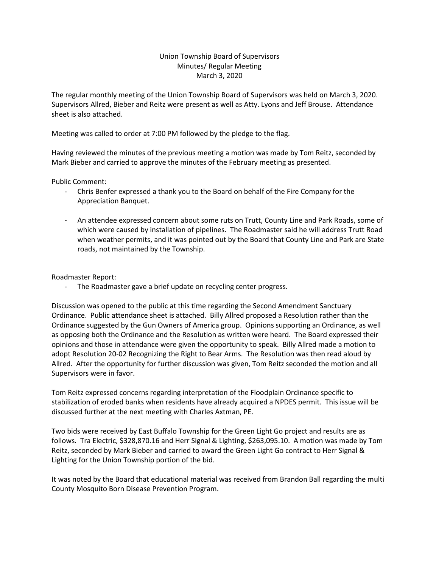## Union Township Board of Supervisors Minutes/ Regular Meeting March 3, 2020

The regular monthly meeting of the Union Township Board of Supervisors was held on March 3, 2020. Supervisors Allred, Bieber and Reitz were present as well as Atty. Lyons and Jeff Brouse. Attendance sheet is also attached.

Meeting was called to order at 7:00 PM followed by the pledge to the flag.

Having reviewed the minutes of the previous meeting a motion was made by Tom Reitz, seconded by Mark Bieber and carried to approve the minutes of the February meeting as presented.

Public Comment:

- Chris Benfer expressed a thank you to the Board on behalf of the Fire Company for the Appreciation Banquet.
- An attendee expressed concern about some ruts on Trutt, County Line and Park Roads, some of which were caused by installation of pipelines. The Roadmaster said he will address Trutt Road when weather permits, and it was pointed out by the Board that County Line and Park are State roads, not maintained by the Township.

Roadmaster Report:

The Roadmaster gave a brief update on recycling center progress.

Discussion was opened to the public at this time regarding the Second Amendment Sanctuary Ordinance. Public attendance sheet is attached. Billy Allred proposed a Resolution rather than the Ordinance suggested by the Gun Owners of America group. Opinions supporting an Ordinance, as well as opposing both the Ordinance and the Resolution as written were heard. The Board expressed their opinions and those in attendance were given the opportunity to speak. Billy Allred made a motion to adopt Resolution 20-02 Recognizing the Right to Bear Arms. The Resolution was then read aloud by Allred. After the opportunity for further discussion was given, Tom Reitz seconded the motion and all Supervisors were in favor.

Tom Reitz expressed concerns regarding interpretation of the Floodplain Ordinance specific to stabilization of eroded banks when residents have already acquired a NPDES permit. This issue will be discussed further at the next meeting with Charles Axtman, PE.

Two bids were received by East Buffalo Township for the Green Light Go project and results are as follows. Tra Electric, \$328,870.16 and Herr Signal & Lighting, \$263,095.10. A motion was made by Tom Reitz, seconded by Mark Bieber and carried to award the Green Light Go contract to Herr Signal & Lighting for the Union Township portion of the bid.

It was noted by the Board that educational material was received from Brandon Ball regarding the multi County Mosquito Born Disease Prevention Program.